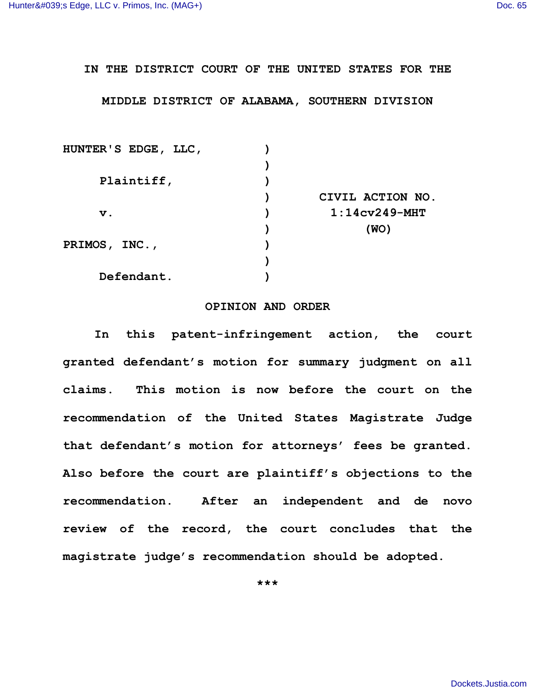## **IN THE DISTRICT COURT OF THE UNITED STATES FOR THE**

## **MIDDLE DISTRICT OF ALABAMA, SOUTHERN DIVISION**

| HUNTER'S EDGE, LLC, |                  |
|---------------------|------------------|
|                     |                  |
| Plaintiff,          |                  |
|                     | CIVIL ACTION NO. |
| $\mathbf v$ .       | $1:14cv249-MHT$  |
|                     | (WO)             |
| PRIMOS, INC.,       |                  |
|                     |                  |
| Defendant.          |                  |

## **OPINION AND ORDER**

**In this patent-infringement action, the court granted defendant's motion for summary judgment on all claims. This motion is now before the court on the recommendation of the United States Magistrate Judge that defendant's motion for attorneys' fees be granted. Also before the court are plaintiff's objections to the recommendation. After an independent and de novo review of the record, the court concludes that the magistrate judge's recommendation should be adopted.**

**\*\*\***